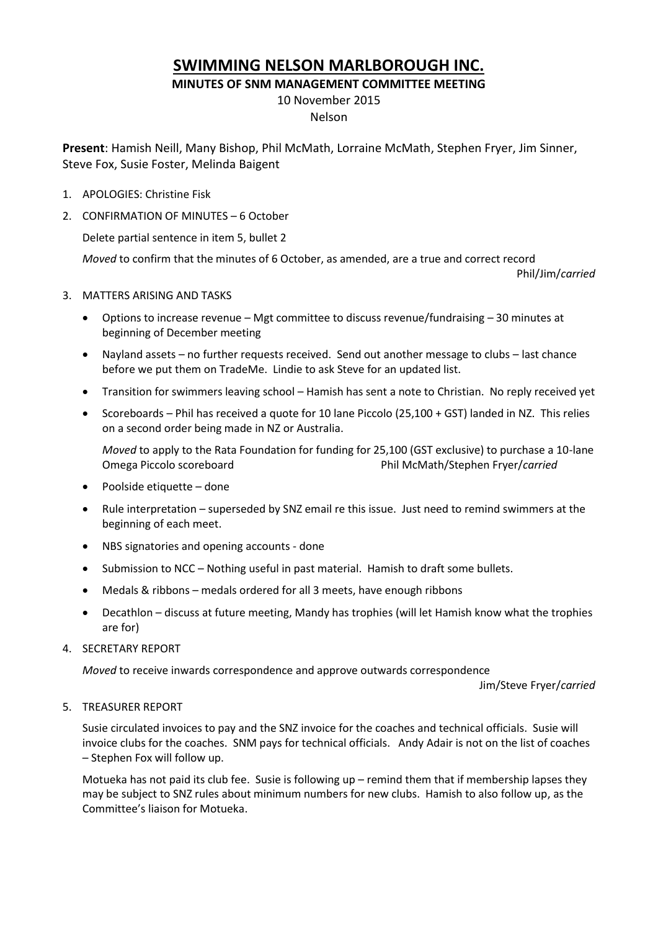## **SWIMMING NELSON MARLBOROUGH INC.**

**MINUTES OF SNM MANAGEMENT COMMITTEE MEETING**

10 November 2015

## Nelson

**Present**: Hamish Neill, Many Bishop, Phil McMath, Lorraine McMath, Stephen Fryer, Jim Sinner, Steve Fox, Susie Foster, Melinda Baigent

- 1. APOLOGIES: Christine Fisk
- 2. CONFIRMATION OF MINUTES 6 October

Delete partial sentence in item 5, bullet 2

*Moved* to confirm that the minutes of 6 October, as amended, are a true and correct record

Phil/Jim/*carried*

- 3. MATTERS ARISING AND TASKS
	- Options to increase revenue Mgt committee to discuss revenue/fundraising 30 minutes at beginning of December meeting
	- Nayland assets no further requests received. Send out another message to clubs last chance before we put them on TradeMe. Lindie to ask Steve for an updated list.
	- Transition for swimmers leaving school Hamish has sent a note to Christian. No reply received yet
	- Scoreboards Phil has received a quote for 10 lane Piccolo (25,100 + GST) landed in NZ. This relies on a second order being made in NZ or Australia.

*Moved* to apply to the Rata Foundation for funding for 25,100 (GST exclusive) to purchase a 10-lane Omega Piccolo scoreboard Phil McMath/Stephen Fryer/*carried*

- Poolside etiquette done
- Rule interpretation superseded by SNZ email re this issue. Just need to remind swimmers at the beginning of each meet.
- NBS signatories and opening accounts done
- Submission to NCC Nothing useful in past material. Hamish to draft some bullets.
- Medals & ribbons medals ordered for all 3 meets, have enough ribbons
- Decathlon discuss at future meeting, Mandy has trophies (will let Hamish know what the trophies are for)
- 4. SECRETARY REPORT

*Moved* to receive inwards correspondence and approve outwards correspondence

Jim/Steve Fryer/*carried*

## 5. TREASURER REPORT

Susie circulated invoices to pay and the SNZ invoice for the coaches and technical officials. Susie will invoice clubs for the coaches. SNM pays for technical officials. Andy Adair is not on the list of coaches – Stephen Fox will follow up.

Motueka has not paid its club fee. Susie is following up – remind them that if membership lapses they may be subject to SNZ rules about minimum numbers for new clubs. Hamish to also follow up, as the Committee's liaison for Motueka.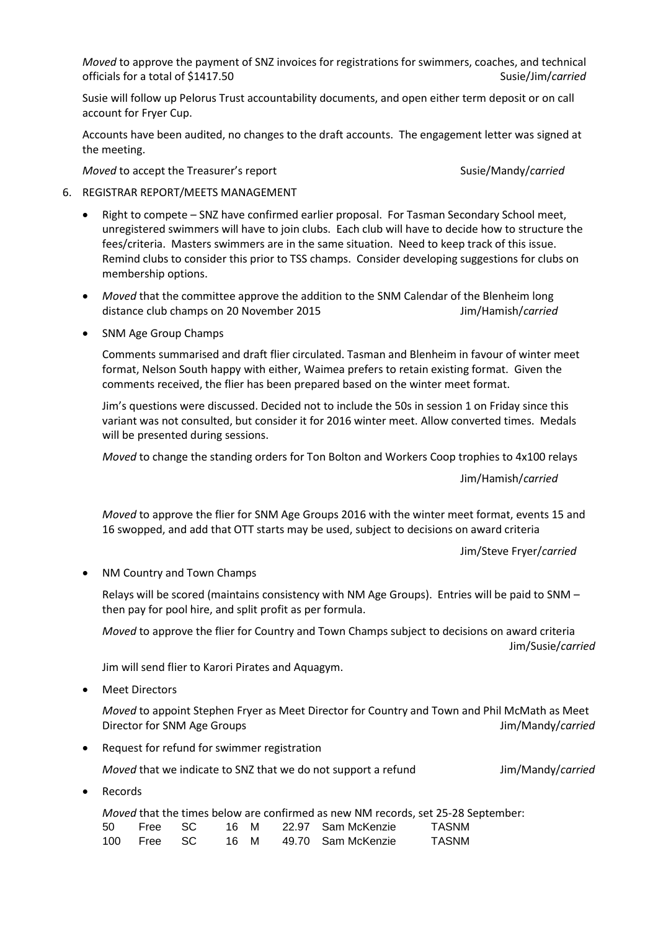*Moved* to approve the payment of SNZ invoices for registrations for swimmers, coaches, and technical officials for a total of \$1417.50 Susie/Jim/*carried* Susie/Jim/*carried* 

Susie will follow up Pelorus Trust accountability documents, and open either term deposit or on call account for Fryer Cup.

Accounts have been audited, no changes to the draft accounts. The engagement letter was signed at the meeting.

*Moved* to accept the Treasurer's report Susie/Mandy/*carried* Susie/Mandy/*carried* 

- 6. REGISTRAR REPORT/MEETS MANAGEMENT
	- Right to compete SNZ have confirmed earlier proposal. For Tasman Secondary School meet, unregistered swimmers will have to join clubs. Each club will have to decide how to structure the fees/criteria. Masters swimmers are in the same situation. Need to keep track of this issue. Remind clubs to consider this prior to TSS champs. Consider developing suggestions for clubs on membership options.
	- *Moved* that the committee approve the addition to the SNM Calendar of the Blenheim long distance club champs on 20 November 2015 Jim/Hamish/*carried*
	- SNM Age Group Champs

Comments summarised and draft flier circulated. Tasman and Blenheim in favour of winter meet format, Nelson South happy with either, Waimea prefers to retain existing format. Given the comments received, the flier has been prepared based on the winter meet format.

Jim's questions were discussed. Decided not to include the 50s in session 1 on Friday since this variant was not consulted, but consider it for 2016 winter meet. Allow converted times. Medals will be presented during sessions.

*Moved* to change the standing orders for Ton Bolton and Workers Coop trophies to 4x100 relays

Jim/Hamish/*carried*

*Moved* to approve the flier for SNM Age Groups 2016 with the winter meet format, events 15 and 16 swopped, and add that OTT starts may be used, subject to decisions on award criteria

Jim/Steve Fryer/*carried*

• NM Country and Town Champs

Relays will be scored (maintains consistency with NM Age Groups). Entries will be paid to SNM – then pay for pool hire, and split profit as per formula.

*Moved* to approve the flier for Country and Town Champs subject to decisions on award criteria Jim/Susie/*carried*

Jim will send flier to Karori Pirates and Aquagym.

Meet Directors

*Moved* to appoint Stephen Fryer as Meet Director for Country and Town and Phil McMath as Meet Director for SNM Age Groups Jim/Mandy/*carried*

Request for refund for swimmer registration

*Moved* that we indicate to SNZ that we do not support a refund Jim/Mandy/*carried* 

Records

|    |             |  |  |                                | Moved that the times below are confirmed as new NM records, set 25-28 September: |
|----|-------------|--|--|--------------------------------|----------------------------------------------------------------------------------|
| 50 | Free SC     |  |  | 16 M      22.97   Sam McKenzie | TASNM                                                                            |
|    | 100 Free SC |  |  | 16 M 49.70 Sam McKenzie        | TASNM                                                                            |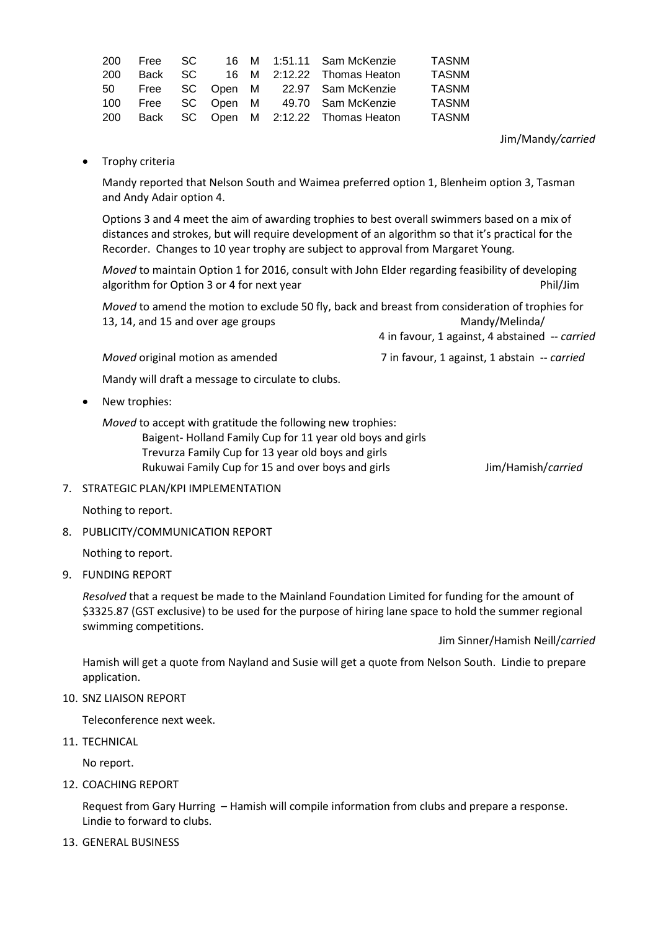| <b>TASNM</b> |
|--------------|
| <b>TASNM</b> |
| <b>TASNM</b> |
| <b>TASNM</b> |
|              |

Jim/Mandy*/carried*

• Trophy criteria

Mandy reported that Nelson South and Waimea preferred option 1, Blenheim option 3, Tasman and Andy Adair option 4.

Options 3 and 4 meet the aim of awarding trophies to best overall swimmers based on a mix of distances and strokes, but will require development of an algorithm so that it's practical for the Recorder. Changes to 10 year trophy are subject to approval from Margaret Young.

*Moved* to maintain Option 1 for 2016, consult with John Elder regarding feasibility of developing algorithm for Option 3 or 4 for next year **Phil/Jim** 

*Moved* to amend the motion to exclude 50 fly, back and breast from consideration of trophies for 13, 14, and 15 and over age groups Mandy/Melinda/ 4 in favour, 1 against, 4 abstained -- *carried*

*Moved* original motion as amended 7 in favour, 1 against, 1 abstain -- *carried* 

Mandy will draft a message to circulate to clubs.

• New trophies:

*Moved* to accept with gratitude the following new trophies: Baigent- Holland Family Cup for 11 year old boys and girls Trevurza Family Cup for 13 year old boys and girls Rukuwai Family Cup for 15 and over boys and girls Jim/Hamish/*carried*

7. STRATEGIC PLAN/KPI IMPLEMENTATION

Nothing to report.

8. PUBLICITY/COMMUNICATION REPORT

Nothing to report.

9. FUNDING REPORT

*Resolved* that a request be made to the Mainland Foundation Limited for funding for the amount of \$3325.87 (GST exclusive) to be used for the purpose of hiring lane space to hold the summer regional swimming competitions.

Jim Sinner/Hamish Neill/*carried*

Hamish will get a quote from Nayland and Susie will get a quote from Nelson South. Lindie to prepare application.

10. SNZ LIAISON REPORT

Teleconference next week.

11. TECHNICAL

No report.

12. COACHING REPORT

Request from Gary Hurring – Hamish will compile information from clubs and prepare a response. Lindie to forward to clubs.

13. GENERAL BUSINESS